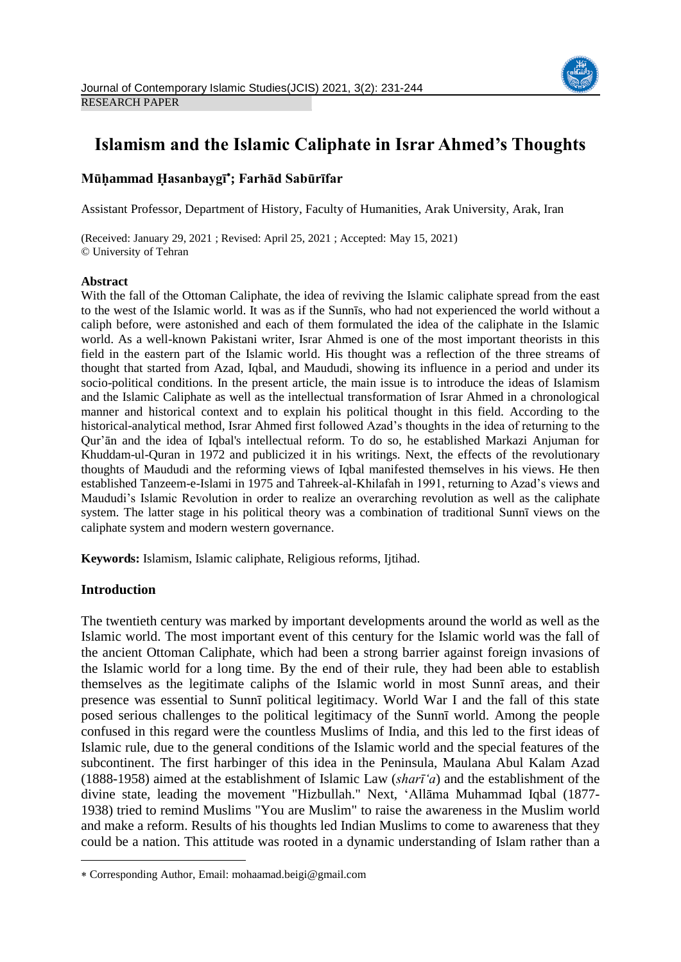

# **Islamism and the Islamic Caliphate in Israr Ahmed's Thoughts**

# **Mūḥammad Ḥasanbaygī ; Farhād Sabūrīfar**

Assistant Professor, Department of History, Faculty of Humanities, Arak University, Arak, Iran

(Received: January 29, 2021 ; Revised: April 25, 2021 ; Accepted: May 15, 2021) © University of Tehran

# **Abstract**

With the fall of the Ottoman Caliphate, the idea of reviving the Islamic caliphate spread from the east to the west of the Islamic world. It was as if the Sunnīs, who had not experienced the world without a caliph before, were astonished and each of them formulated the idea of the caliphate in the Islamic world. As a well-known Pakistani writer, Israr Ahmed is one of the most important theorists in this field in the eastern part of the Islamic world. His thought was a reflection of the three streams of thought that started from Azad, Iqbal, and Maududi, showing its influence in a period and under its socio-political conditions. In the present article, the main issue is to introduce the ideas of Islamism and the Islamic Caliphate as well as the intellectual transformation of Israr Ahmed in a chronological manner and historical context and to explain his political thought in this field. According to the historical-analytical method, Israr Ahmed first followed Azad's thoughts in the idea of returning to the Qur'ān and the idea of Iqbal's intellectual reform. To do so, he established Markazi Anjuman for Khuddam-ul-Quran in 1972 and publicized it in his writings. Next, the effects of the revolutionary thoughts of Maududi and the reforming views of Iqbal manifested themselves in his views. He then established Tanzeem-e-Islami in 1975 and Tahreek-al-Khilafah in 1991, returning to Azad's views and Maududi's Islamic Revolution in order to realize an overarching revolution as well as the caliphate system. The latter stage in his political theory was a combination of traditional Sunnī views on the caliphate system and modern western governance.

**Keywords:** Islamism, Islamic caliphate, Religious reforms, Ijtihad.

# **Introduction**

 $\overline{a}$ 

The twentieth century was marked by important developments around the world as well as the Islamic world. The most important event of this century for the Islamic world was the fall of the ancient Ottoman Caliphate, which had been a strong barrier against foreign invasions of the Islamic world for a long time. By the end of their rule, they had been able to establish themselves as the legitimate caliphs of the Islamic world in most Sunnī areas, and their presence was essential to Sunnī political legitimacy. World War I and the fall of this state posed serious challenges to the political legitimacy of the Sunnī world. Among the people confused in this regard were the countless Muslims of India, and this led to the first ideas of Islamic rule, due to the general conditions of the Islamic world and the special features of the subcontinent. The first harbinger of this idea in the Peninsula, Maulana Abul Kalam Azad (1888-1958) aimed at the establishment of Islamic Law (*sharī'a*) and the establishment of the divine state, leading the movement "Hizbullah." Next, 'Allāma Muhammad Iqbal (1877- 1938) tried to remind Muslims "You are Muslim" to raise the awareness in the Muslim world and make a reform. Results of his thoughts led Indian Muslims to come to awareness that they could be a nation. This attitude was rooted in a dynamic understanding of Islam rather than a

Corresponding Author, Email: mohaamad.beigi@gmail.com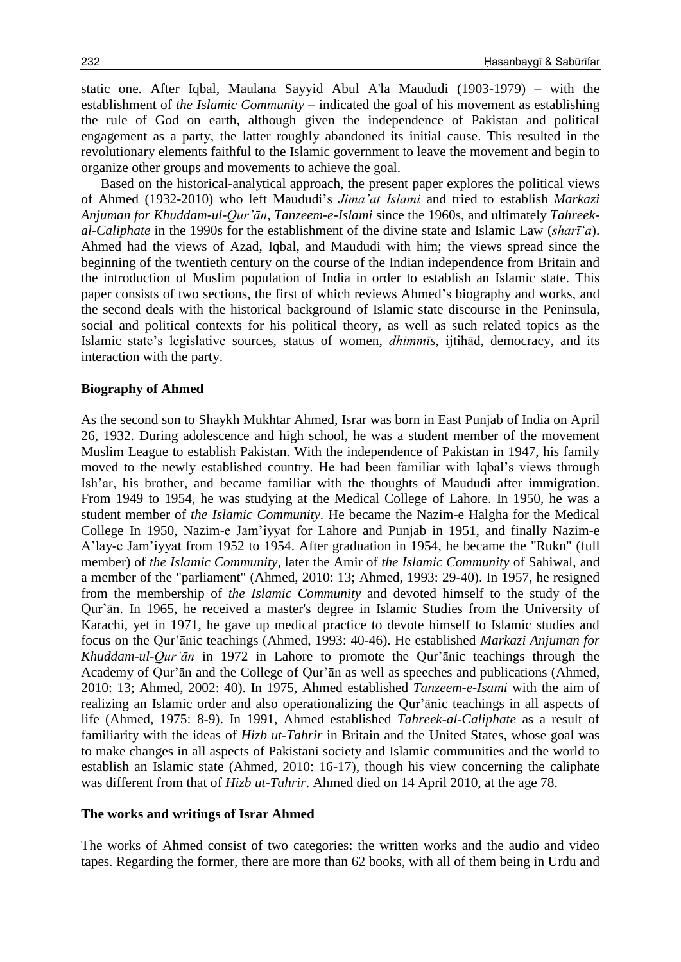static one. After Iqbal, Maulana Sayyid Abul A'la Maududi (1903-1979) – with the establishment of *the Islamic Community* – indicated the goal of his movement as establishing the rule of God on earth, although given the independence of Pakistan and political engagement as a party, the latter roughly abandoned its initial cause. This resulted in the revolutionary elements faithful to the Islamic government to leave the movement and begin to organize other groups and movements to achieve the goal.

Based on the historical-analytical approach, the present paper explores the political views of Ahmed (1932-2010) who left Maududi's *Jima'at Islami* and tried to establish *Markazi Anjuman for Khuddam-ul-Qur'ān*, *Tanzeem-e-Islami* since the 1960s, and ultimately *Tahreekal-Caliphate* in the 1990s for the establishment of the divine state and Islamic Law (*sharī'a*). Ahmed had the views of Azad, Iqbal, and Maududi with him; the views spread since the beginning of the twentieth century on the course of the Indian independence from Britain and the introduction of Muslim population of India in order to establish an Islamic state. This paper consists of two sections, the first of which reviews Ahmed's biography and works, and the second deals with the historical background of Islamic state discourse in the Peninsula, social and political contexts for his political theory, as well as such related topics as the Islamic state's legislative sources, status of women, *dhimmīs*, ijtihād, democracy, and its interaction with the party.

#### **Biography of Ahmed**

As the second son to Shaykh Mukhtar Ahmed, Israr was born in East Punjab of India on April 26, 1932. During adolescence and high school, he was a student member of the movement Muslim League to establish Pakistan. With the independence of Pakistan in 1947, his family moved to the newly established country. He had been familiar with Iqbal's views through Ish'ar, his brother, and became familiar with the thoughts of Maududi after immigration. From 1949 to 1954, he was studying at the Medical College of Lahore. In 1950, he was a student member of *the Islamic Community.* He became the Nazim-e Halgha for the Medical College In 1950, Nazim-e Jam'iyyat for Lahore and Punjab in 1951, and finally Nazim-e A'lay-e Jam'iyyat from 1952 to 1954. After graduation in 1954, he became the "Rukn" (full member) of *the Islamic Community,* later the Amir of *the Islamic Community* of Sahiwal, and a member of the "parliament" (Ahmed, 2010: 13; Ahmed, 1993: 29-40). In 1957, he resigned from the membership of *the Islamic Community* and devoted himself to the study of the Qur'ān. In 1965, he received a master's degree in Islamic Studies from the University of Karachi, yet in 1971, he gave up medical practice to devote himself to Islamic studies and focus on the Qur'ānic teachings (Ahmed, 1993: 40-46). He established *Markazi Anjuman for Khuddam-ul-Qur'ān* in 1972 in Lahore to promote the Qur'ānic teachings through the Academy of Qur'ān and the College of Qur'ān as well as speeches and publications (Ahmed, 2010: 13; Ahmed, 2002: 40). In 1975, Ahmed established *Tanzeem-e-Isami* with the aim of realizing an Islamic order and also operationalizing the Qur'ānic teachings in all aspects of life (Ahmed, 1975: 8-9). In 1991, Ahmed established *Tahreek-al-Caliphate* as a result of familiarity with the ideas of *Hizb ut-Tahrir* in Britain and the United States, whose goal was to make changes in all aspects of Pakistani society and Islamic communities and the world to establish an Islamic state (Ahmed, 2010: 16-17), though his view concerning the caliphate was different from that of *Hizb ut-Tahrir*. Ahmed died on 14 April 2010, at the age 78.

#### **The works and writings of Israr Ahmed**

The works of Ahmed consist of two categories: the written works and the audio and video tapes. Regarding the former, there are more than 62 books, with all of them being in Urdu and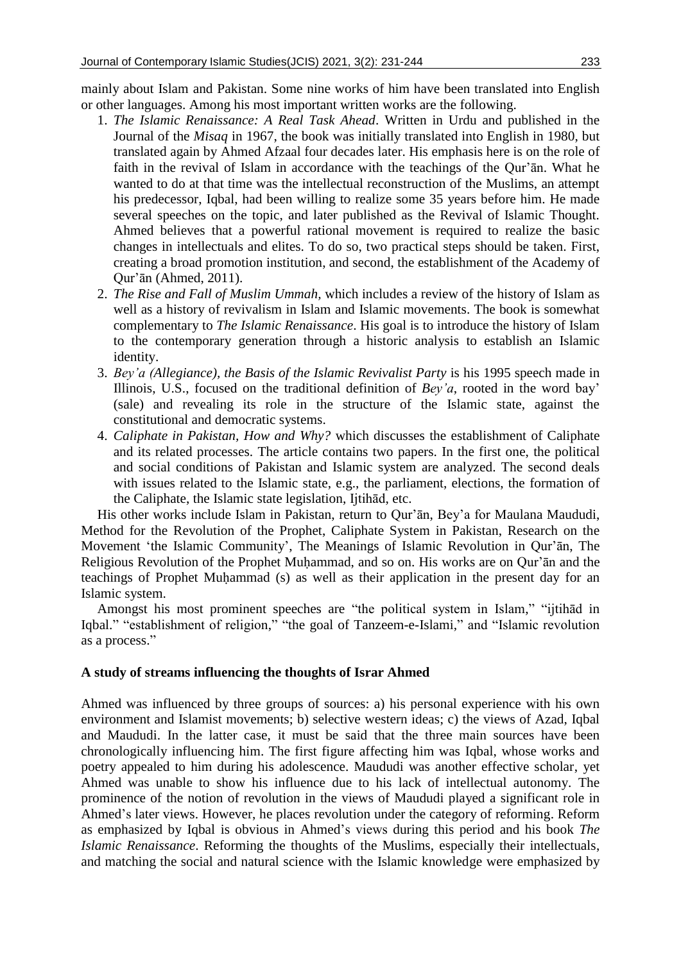mainly about Islam and Pakistan. Some nine works of him have been translated into English or other languages. Among his most important written works are the following.

- 1. *The Islamic Renaissance: A Real Task Ahead*. Written in Urdu and published in the Journal of the *Misaq* in 1967, the book was initially translated into English in 1980, but translated again by Ahmed Afzaal four decades later. His emphasis here is on the role of faith in the revival of Islam in accordance with the teachings of the Qur'ān. What he wanted to do at that time was the intellectual reconstruction of the Muslims, an attempt his predecessor, Iqbal, had been willing to realize some 35 years before him. He made several speeches on the topic, and later published as the Revival of Islamic Thought. Ahmed believes that a powerful rational movement is required to realize the basic changes in intellectuals and elites. To do so, two practical steps should be taken. First, creating a broad promotion institution, and second, the establishment of the Academy of Qur'ān (Ahmed, 2011).
- 2. *The Rise and Fall of Muslim Ummah,* which includes a review of the history of Islam as well as a history of revivalism in Islam and Islamic movements. The book is somewhat complementary to *The Islamic Renaissance*. His goal is to introduce the history of Islam to the contemporary generation through a historic analysis to establish an Islamic identity.
- 3. *Bey'a (Allegiance), the Basis of the Islamic Revivalist Party* is his 1995 speech made in Illinois, U.S., focused on the traditional definition of *Bey'a*, rooted in the word bay' (sale) and revealing its role in the structure of the Islamic state, against the constitutional and democratic systems.
- 4. *Caliphate in Pakistan, How and Why?* which discusses the establishment of Caliphate and its related processes. The article contains two papers. In the first one, the political and social conditions of Pakistan and Islamic system are analyzed. The second deals with issues related to the Islamic state, e.g., the parliament, elections, the formation of the Caliphate, the Islamic state legislation, Ijtihād, etc.

His other works include Islam in Pakistan, return to Qur'ān, Bey'a for Maulana Maududi, Method for the Revolution of the Prophet, Caliphate System in Pakistan, Research on the Movement 'the Islamic Community', The Meanings of Islamic Revolution in Qur'ān, The Religious Revolution of the Prophet Muḥammad, and so on. His works are on Qur'ān and the teachings of Prophet Muḥammad (s) as well as their application in the present day for an Islamic system.

Amongst his most prominent speeches are "the political system in Islam," "ijtihād in Iqbal." "establishment of religion," "the goal of Tanzeem-e-Islami," and "Islamic revolution as a process."

## **A study of streams influencing the thoughts of Israr Ahmed**

Ahmed was influenced by three groups of sources: a) his personal experience with his own environment and Islamist movements; b) selective western ideas; c) the views of Azad, Iqbal and Maududi. In the latter case, it must be said that the three main sources have been chronologically influencing him. The first figure affecting him was Iqbal, whose works and poetry appealed to him during his adolescence. Maududi was another effective scholar, yet Ahmed was unable to show his influence due to his lack of intellectual autonomy. The prominence of the notion of revolution in the views of Maududi played a significant role in Ahmed's later views. However, he places revolution under the category of reforming. Reform as emphasized by Iqbal is obvious in Ahmed's views during this period and his book *The Islamic Renaissance*. Reforming the thoughts of the Muslims, especially their intellectuals, and matching the social and natural science with the Islamic knowledge were emphasized by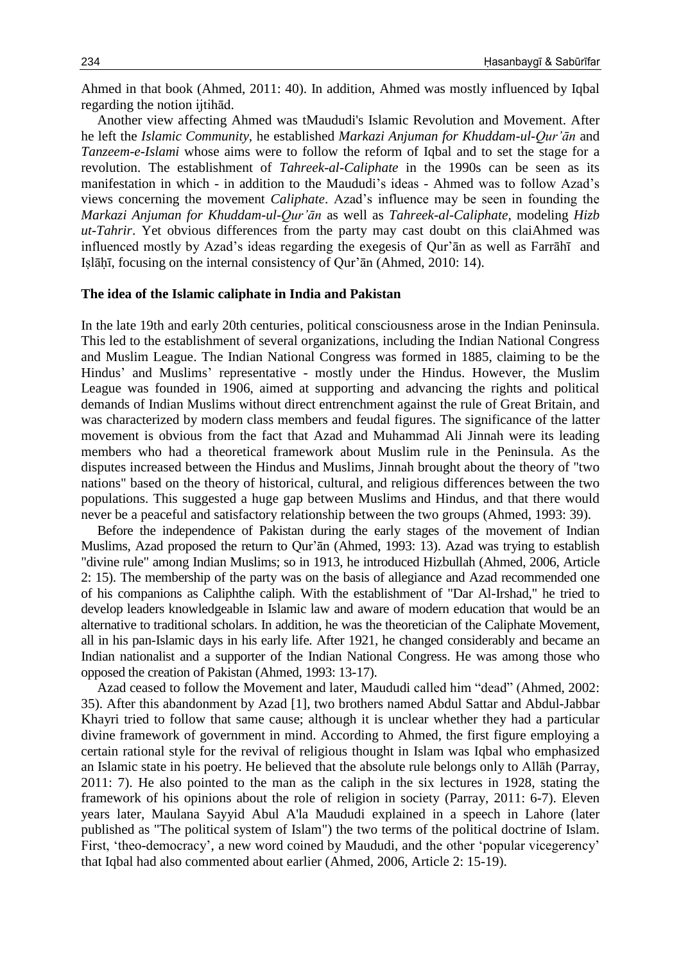Ahmed in that book (Ahmed, 2011: 40). In addition, Ahmed was mostly influenced by Iqbal regarding the notion ijtihād.

Another view affecting Ahmed was tMaududi's Islamic Revolution and Movement. After he left the *Islamic Community,* he established *Markazi Anjuman for Khuddam-ul-Qur'ān* and *Tanzeem-e-Islami* whose aims were to follow the reform of Iqbal and to set the stage for a revolution. The establishment of *Tahreek-al-Caliphate* in the 1990s can be seen as its manifestation in which - in addition to the Maududi's ideas - Ahmed was to follow Azad's views concerning the movement *Caliphate*. Azad's influence may be seen in founding the *Markazi Anjuman for Khuddam-ul-Qur'ān* as well as *Tahreek-al-Caliphate,* modeling *Hizb ut-Tahrir*. Yet obvious differences from the party may cast doubt on this claiAhmed was influenced mostly by Azad's ideas regarding the exegesis of Qur'ān as well as Farrāhī and Iṣlāḥī, focusing on the internal consistency of Qur'ān (Ahmed, 2010: 14).

## **The idea of the Islamic caliphate in India and Pakistan**

In the late 19th and early 20th centuries, political consciousness arose in the Indian Peninsula. This led to the establishment of several organizations, including the Indian National Congress and Muslim League. The Indian National Congress was formed in 1885, claiming to be the Hindus' and Muslims' representative - mostly under the Hindus. However, the Muslim League was founded in 1906, aimed at supporting and advancing the rights and political demands of Indian Muslims without direct entrenchment against the rule of Great Britain, and was characterized by modern class members and feudal figures. The significance of the latter movement is obvious from the fact that Azad and Muhammad Ali Jinnah were its leading members who had a theoretical framework about Muslim rule in the Peninsula. As the disputes increased between the Hindus and Muslims, Jinnah brought about the theory of "two nations" based on the theory of historical, cultural, and religious differences between the two populations. This suggested a huge gap between Muslims and Hindus, and that there would never be a peaceful and satisfactory relationship between the two groups (Ahmed, 1993: 39).

Before the independence of Pakistan during the early stages of the movement of Indian Muslims, Azad proposed the return to Qur'ān (Ahmed, 1993: 13). Azad was trying to establish "divine rule" among Indian Muslims; so in 1913, he introduced Hizbullah (Ahmed, 2006, Article 2: 15). The membership of the party was on the basis of allegiance and Azad recommended one of his companions as Caliphthe caliph. With the establishment of "Dar Al-Irshad," he tried to develop leaders knowledgeable in Islamic law and aware of modern education that would be an alternative to traditional scholars. In addition, he was the theoretician of the Caliphate Movement, all in his pan-Islamic days in his early life. After 1921, he changed considerably and became an Indian nationalist and a supporter of the Indian National Congress. He was among those who opposed the creation of Pakistan (Ahmed, 1993: 13-17).

Azad ceased to follow the Movement and later, Maududi called him "dead" (Ahmed, 2002: 35). After this abandonment by Azad [1], two brothers named Abdul Sattar and Abdul-Jabbar Khayri tried to follow that same cause; although it is unclear whether they had a particular divine framework of government in mind. According to Ahmed, the first figure employing a certain rational style for the revival of religious thought in Islam was Iqbal who emphasized an Islamic state in his poetry. He believed that the absolute rule belongs only to Allāh (Parray, 2011: 7). He also pointed to the man as the caliph in the six lectures in 1928, stating the framework of his opinions about the role of religion in society (Parray, 2011: 6-7). Eleven years later, Maulana Sayyid Abul A'la Maududi explained in a speech in Lahore (later published as "The political system of Islam") the two terms of the political doctrine of Islam. First, 'theo-democracy', a new word coined by Maududi, and the other 'popular vicegerency' that Iqbal had also commented about earlier (Ahmed, 2006, Article 2: 15-19).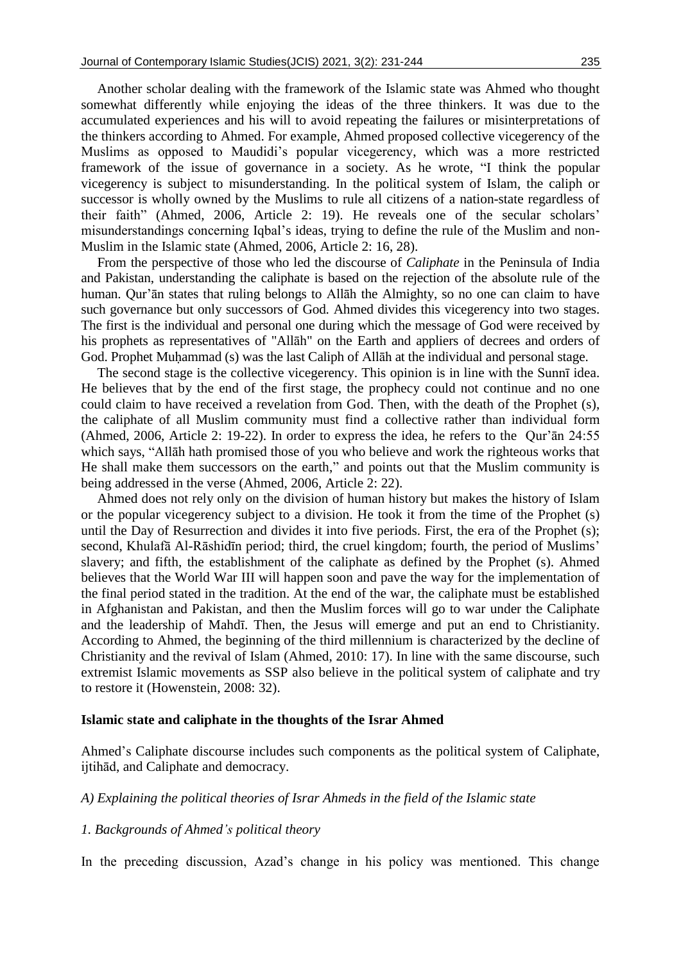Another scholar dealing with the framework of the Islamic state was Ahmed who thought somewhat differently while enjoying the ideas of the three thinkers. It was due to the accumulated experiences and his will to avoid repeating the failures or misinterpretations of the thinkers according to Ahmed. For example, Ahmed proposed collective vicegerency of the Muslims as opposed to Maudidi's popular vicegerency, which was a more restricted framework of the issue of governance in a society. As he wrote, "I think the popular vicegerency is subject to misunderstanding. In the political system of Islam, the caliph or successor is wholly owned by the Muslims to rule all citizens of a nation-state regardless of their faith" (Ahmed, 2006, Article 2: 19). He reveals one of the secular scholars' misunderstandings concerning Iqbal's ideas, trying to define the rule of the Muslim and non-Muslim in the Islamic state (Ahmed, 2006, Article 2: 16, 28).

From the perspective of those who led the discourse of *Caliphate* in the Peninsula of India and Pakistan, understanding the caliphate is based on the rejection of the absolute rule of the human. Qur'ān states that ruling belongs to Allāh the Almighty, so no one can claim to have such governance but only successors of God. Ahmed divides this vicegerency into two stages. The first is the individual and personal one during which the message of God were received by his prophets as representatives of "Allāh" on the Earth and appliers of decrees and orders of God. Prophet Muhammad (s) was the last Caliph of Allāh at the individual and personal stage.

The second stage is the collective vicegerency. This opinion is in line with the Sunnī idea. He believes that by the end of the first stage, the prophecy could not continue and no one could claim to have received a revelation from God. Then, with the death of the Prophet (s), the caliphate of all Muslim community must find a collective rather than individual form (Ahmed, 2006, Article 2: 19-22). In order to express the idea, he refers to the Qur'ān 24:55 which says, "Allāh hath promised those of you who believe and work the righteous works that He shall make them successors on the earth," and points out that the Muslim community is being addressed in the verse (Ahmed, 2006, Article 2: 22).

Ahmed does not rely only on the division of human history but makes the history of Islam or the popular vicegerency subject to a division. He took it from the time of the Prophet (s) until the Day of Resurrection and divides it into five periods. First, the era of the Prophet (s); second, Khulafā Al-Rāshidīn period; third, the cruel kingdom; fourth, the period of Muslims' slavery; and fifth, the establishment of the caliphate as defined by the Prophet (s). Ahmed believes that the World War III will happen soon and pave the way for the implementation of the final period stated in the tradition. At the end of the war, the caliphate must be established in Afghanistan and Pakistan, and then the Muslim forces will go to war under the Caliphate and the leadership of Mahdī. Then, the Jesus will emerge and put an end to Christianity. According to Ahmed, the beginning of the third millennium is characterized by the decline of Christianity and the revival of Islam (Ahmed, 2010: 17). In line with the same discourse, such extremist Islamic movements as SSP also believe in the political system of caliphate and try to restore it (Howenstein, 2008: 32).

### **Islamic state and caliphate in the thoughts of the Israr Ahmed**

Ahmed's Caliphate discourse includes such components as the political system of Caliphate, ijtihād, and Caliphate and democracy.

#### *A) Explaining the political theories of Israr Ahmeds in the field of the Islamic state*

#### *1. Backgrounds of Ahmed's political theory*

In the preceding discussion, Azad's change in his policy was mentioned. This change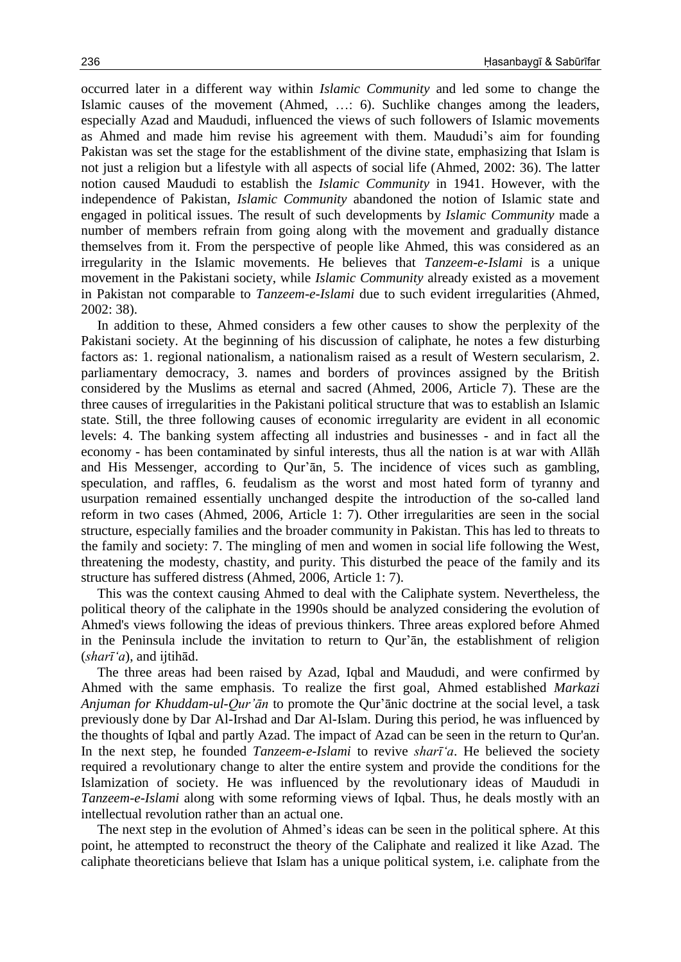occurred later in a different way within *Islamic Community* and led some to change the Islamic causes of the movement (Ahmed, …: 6). Suchlike changes among the leaders, especially Azad and Maududi, influenced the views of such followers of Islamic movements as Ahmed and made him revise his agreement with them. Maududi's aim for founding Pakistan was set the stage for the establishment of the divine state, emphasizing that Islam is not just a religion but a lifestyle with all aspects of social life (Ahmed, 2002: 36). The latter notion caused Maududi to establish the *Islamic Community* in 1941. However, with the independence of Pakistan, *Islamic Community* abandoned the notion of Islamic state and engaged in political issues. The result of such developments by *Islamic Community* made a number of members refrain from going along with the movement and gradually distance themselves from it. From the perspective of people like Ahmed, this was considered as an irregularity in the Islamic movements. He believes that *Tanzeem-e-Islami* is a unique movement in the Pakistani society, while *Islamic Community* already existed as a movement in Pakistan not comparable to *Tanzeem-e-Islami* due to such evident irregularities (Ahmed, 2002: 38).

In addition to these, Ahmed considers a few other causes to show the perplexity of the Pakistani society. At the beginning of his discussion of caliphate, he notes a few disturbing factors as: 1. regional nationalism, a nationalism raised as a result of Western secularism, 2. parliamentary democracy, 3. names and borders of provinces assigned by the British considered by the Muslims as eternal and sacred (Ahmed, 2006, Article 7). These are the three causes of irregularities in the Pakistani political structure that was to establish an Islamic state. Still, the three following causes of economic irregularity are evident in all economic levels: 4. The banking system affecting all industries and businesses - and in fact all the economy - has been contaminated by sinful interests, thus all the nation is at war with Allāh and His Messenger, according to Qur'ān, 5. The incidence of vices such as gambling, speculation, and raffles, 6. feudalism as the worst and most hated form of tyranny and usurpation remained essentially unchanged despite the introduction of the so-called land reform in two cases (Ahmed, 2006, Article 1: 7). Other irregularities are seen in the social structure, especially families and the broader community in Pakistan. This has led to threats to the family and society: 7. The mingling of men and women in social life following the West, threatening the modesty, chastity, and purity. This disturbed the peace of the family and its structure has suffered distress (Ahmed, 2006, Article 1: 7).

This was the context causing Ahmed to deal with the Caliphate system. Nevertheless, the political theory of the caliphate in the 1990s should be analyzed considering the evolution of Ahmed's views following the ideas of previous thinkers. Three areas explored before Ahmed in the Peninsula include the invitation to return to Qur'ān, the establishment of religion (*sharī'a*), and ijtihād.

The three areas had been raised by Azad, Iqbal and Maududi, and were confirmed by Ahmed with the same emphasis. To realize the first goal, Ahmed established *Markazi Anjuman for Khuddam-ul-Qur'ān* to promote the Qur'ānic doctrine at the social level, a task previously done by Dar Al-Irshad and Dar Al-Islam. During this period, he was influenced by the thoughts of Iqbal and partly Azad. The impact of Azad can be seen in the return to Qur'an. In the next step, he founded *Tanzeem-e-Islami* to revive *sharī'a*. He believed the society required a revolutionary change to alter the entire system and provide the conditions for the Islamization of society. He was influenced by the revolutionary ideas of Maududi in *Tanzeem-e-Islami* along with some reforming views of Iqbal. Thus, he deals mostly with an intellectual revolution rather than an actual one.

The next step in the evolution of Ahmed's ideas can be seen in the political sphere. At this point, he attempted to reconstruct the theory of the Caliphate and realized it like Azad. The caliphate theoreticians believe that Islam has a unique political system, i.e. caliphate from the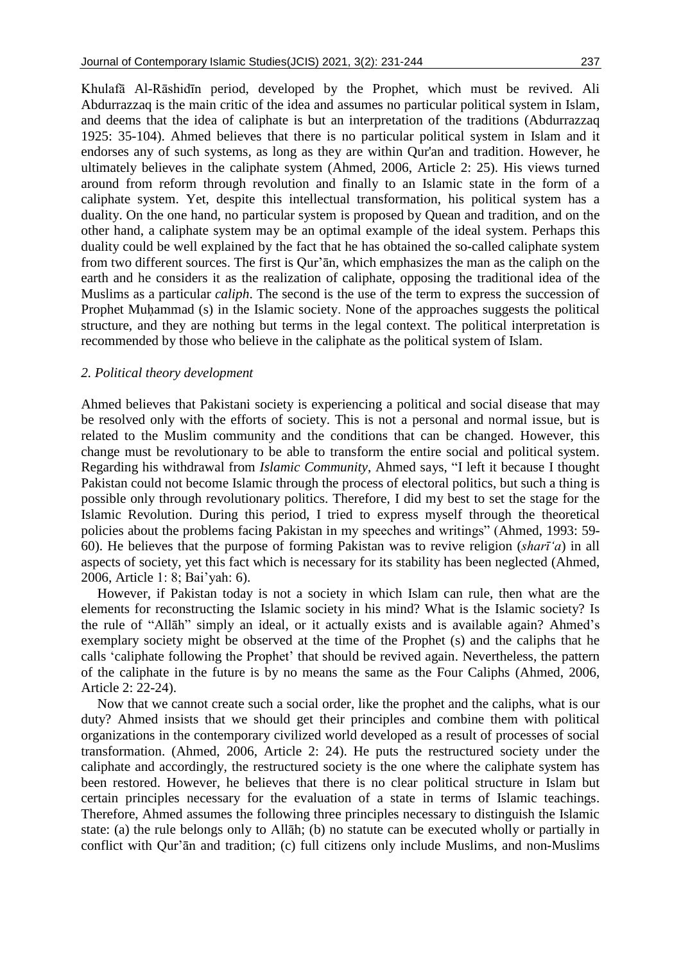Khulafā Al-Rāshidīn period, developed by the Prophet, which must be revived. Ali Abdurrazzaq is the main critic of the idea and assumes no particular political system in Islam, and deems that the idea of caliphate is but an interpretation of the traditions (Abdurrazzaq 1925: 35-104). Ahmed believes that there is no particular political system in Islam and it endorses any of such systems, as long as they are within Qur'an and tradition. However, he ultimately believes in the caliphate system (Ahmed, 2006, Article 2: 25). His views turned around from reform through revolution and finally to an Islamic state in the form of a caliphate system. Yet, despite this intellectual transformation, his political system has a duality. On the one hand, no particular system is proposed by Quean and tradition, and on the other hand, a caliphate system may be an optimal example of the ideal system. Perhaps this duality could be well explained by the fact that he has obtained the so-called caliphate system from two different sources. The first is Qur'ān, which emphasizes the man as the caliph on the earth and he considers it as the realization of caliphate, opposing the traditional idea of the Muslims as a particular *caliph*. The second is the use of the term to express the succession of Prophet Muḥammad (s) in the Islamic society. None of the approaches suggests the political structure, and they are nothing but terms in the legal context. The political interpretation is recommended by those who believe in the caliphate as the political system of Islam.

## *2. Political theory development*

Ahmed believes that Pakistani society is experiencing a political and social disease that may be resolved only with the efforts of society. This is not a personal and normal issue, but is related to the Muslim community and the conditions that can be changed. However, this change must be revolutionary to be able to transform the entire social and political system. Regarding his withdrawal from *Islamic Community*, Ahmed says, "I left it because I thought Pakistan could not become Islamic through the process of electoral politics, but such a thing is possible only through revolutionary politics. Therefore, I did my best to set the stage for the Islamic Revolution. During this period, I tried to express myself through the theoretical policies about the problems facing Pakistan in my speeches and writings" (Ahmed, 1993: 59- 60). He believes that the purpose of forming Pakistan was to revive religion (*sharī'a*) in all aspects of society, yet this fact which is necessary for its stability has been neglected (Ahmed, 2006, Article 1: 8; Bai'yah: 6).

However, if Pakistan today is not a society in which Islam can rule, then what are the elements for reconstructing the Islamic society in his mind? What is the Islamic society? Is the rule of "Allāh" simply an ideal, or it actually exists and is available again? Ahmed's exemplary society might be observed at the time of the Prophet (s) and the caliphs that he calls 'caliphate following the Prophet' that should be revived again. Nevertheless, the pattern of the caliphate in the future is by no means the same as the Four Caliphs (Ahmed, 2006, Article 2: 22-24).

Now that we cannot create such a social order, like the prophet and the caliphs, what is our duty? Ahmed insists that we should get their principles and combine them with political organizations in the contemporary civilized world developed as a result of processes of social transformation. (Ahmed, 2006, Article 2: 24). He puts the restructured society under the caliphate and accordingly, the restructured society is the one where the caliphate system has been restored. However, he believes that there is no clear political structure in Islam but certain principles necessary for the evaluation of a state in terms of Islamic teachings. Therefore, Ahmed assumes the following three principles necessary to distinguish the Islamic state: (a) the rule belongs only to Allāh; (b) no statute can be executed wholly or partially in conflict with Qur'ān and tradition; (c) full citizens only include Muslims, and non-Muslims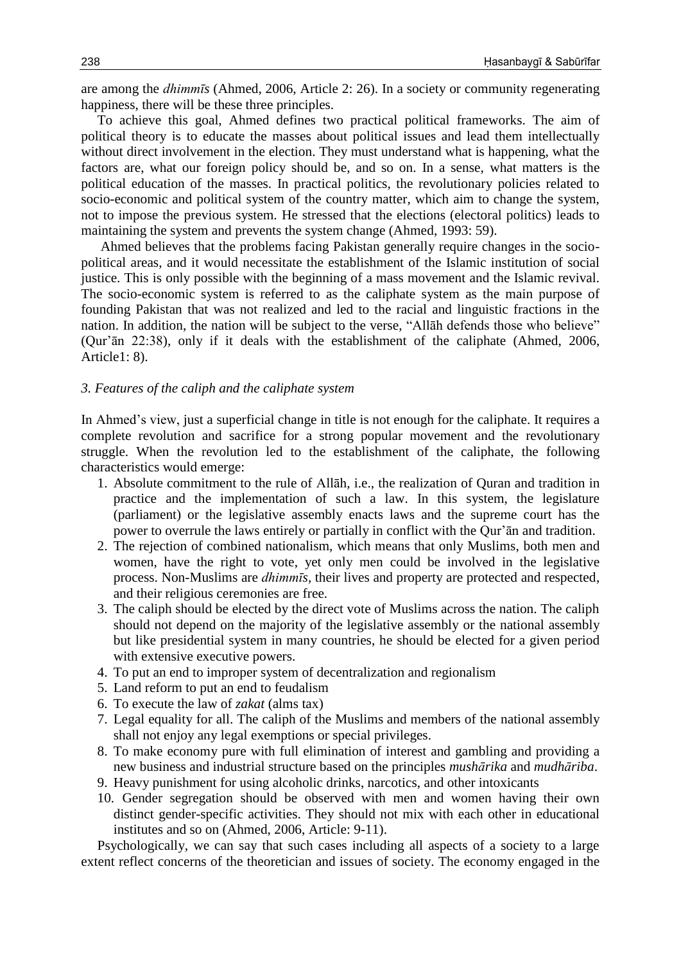are among the *dhimmīs* (Ahmed, 2006, Article 2: 26). In a society or community regenerating happiness, there will be these three principles.

To achieve this goal, Ahmed defines two practical political frameworks. The aim of political theory is to educate the masses about political issues and lead them intellectually without direct involvement in the election. They must understand what is happening, what the factors are, what our foreign policy should be, and so on. In a sense, what matters is the political education of the masses. In practical politics, the revolutionary policies related to socio-economic and political system of the country matter, which aim to change the system, not to impose the previous system. He stressed that the elections (electoral politics) leads to maintaining the system and prevents the system change (Ahmed, 1993: 59).

Ahmed believes that the problems facing Pakistan generally require changes in the sociopolitical areas, and it would necessitate the establishment of the Islamic institution of social justice. This is only possible with the beginning of a mass movement and the Islamic revival. The socio-economic system is referred to as the caliphate system as the main purpose of founding Pakistan that was not realized and led to the racial and linguistic fractions in the nation. In addition, the nation will be subject to the verse, "Allāh defends those who believe" (Qur'ān 22:38), only if it deals with the establishment of the caliphate (Ahmed, 2006, Article1: 8).

## *3. Features of the caliph and the caliphate system*

In Ahmed's view, just a superficial change in title is not enough for the caliphate. It requires a complete revolution and sacrifice for a strong popular movement and the revolutionary struggle. When the revolution led to the establishment of the caliphate, the following characteristics would emerge:

- 1. Absolute commitment to the rule of Allāh, i.e., the realization of Quran and tradition in practice and the implementation of such a law. In this system, the legislature (parliament) or the legislative assembly enacts laws and the supreme court has the power to overrule the laws entirely or partially in conflict with the Qur'ān and tradition.
- 2. The rejection of combined nationalism, which means that only Muslims, both men and women, have the right to vote, yet only men could be involved in the legislative process. Non-Muslims are *dhimmīs,* their lives and property are protected and respected, and their religious ceremonies are free.
- 3. The caliph should be elected by the direct vote of Muslims across the nation. The caliph should not depend on the majority of the legislative assembly or the national assembly but like presidential system in many countries, he should be elected for a given period with extensive executive powers.
- 4. To put an end to improper system of decentralization and regionalism
- 5. Land reform to put an end to feudalism
- 6. To execute the law of *zakat* (alms tax)
- 7. Legal equality for all. The caliph of the Muslims and members of the national assembly shall not enjoy any legal exemptions or special privileges.
- 8. To make economy pure with full elimination of interest and gambling and providing a new business and industrial structure based on the principles *mushārika* and *mudhāriba*.
- 9. Heavy punishment for using alcoholic drinks, narcotics, and other intoxicants
- 10. Gender segregation should be observed with men and women having their own distinct gender-specific activities. They should not mix with each other in educational institutes and so on (Ahmed, 2006, Article: 9-11).

Psychologically, we can say that such cases including all aspects of a society to a large extent reflect concerns of the theoretician and issues of society. The economy engaged in the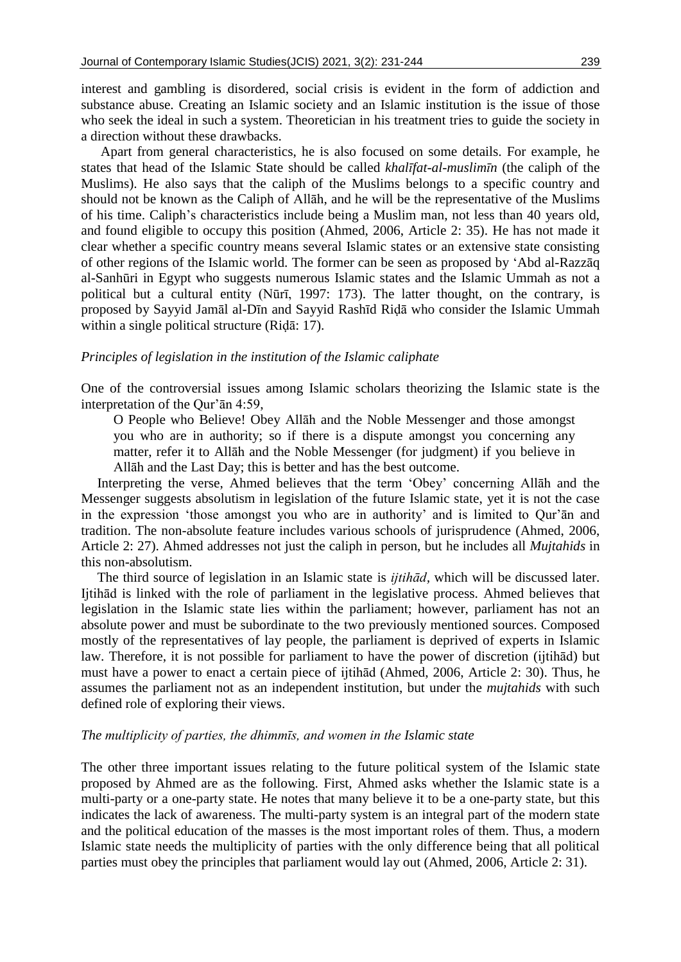interest and gambling is disordered, social crisis is evident in the form of addiction and substance abuse. Creating an Islamic society and an Islamic institution is the issue of those who seek the ideal in such a system. Theoretician in his treatment tries to guide the society in a direction without these drawbacks.

Apart from general characteristics, he is also focused on some details. For example, he states that head of the Islamic State should be called *khalīfat-al-muslimīn* (the caliph of the Muslims). He also says that the caliph of the Muslims belongs to a specific country and should not be known as the Caliph of Allāh, and he will be the representative of the Muslims of his time. Caliph's characteristics include being a Muslim man, not less than 40 years old, and found eligible to occupy this position (Ahmed, 2006, Article 2: 35). He has not made it clear whether a specific country means several Islamic states or an extensive state consisting of other regions of the Islamic world. The former can be seen as proposed by 'Abd al-Razzāq al-Sanhūri in Egypt who suggests numerous Islamic states and the Islamic Ummah as not a political but a cultural entity (Nūrī, 1997: 173). The latter thought, on the contrary, is proposed by Sayyid Jamāl al-Dīn and Sayyid Rashīd Riḍā who consider the Islamic Ummah within a single political structure (Riḍā: 17).

# *Principles of legislation in the institution of the Islamic caliphate*

One of the controversial issues among Islamic scholars theorizing the Islamic state is the interpretation of the Qur'ān 4:59,

O People who Believe! Obey Allāh and the Noble Messenger and those amongst you who are in authority; so if there is a dispute amongst you concerning any matter, refer it to Allāh and the Noble Messenger (for judgment) if you believe in Allāh and the Last Day; this is better and has the best outcome.

Interpreting the verse, Ahmed believes that the term 'Obey' concerning Allāh and the Messenger suggests absolutism in legislation of the future Islamic state, yet it is not the case in the expression 'those amongst you who are in authority' and is limited to Qur'ān and tradition. The non-absolute feature includes various schools of jurisprudence (Ahmed, 2006, Article 2: 27). Ahmed addresses not just the caliph in person, but he includes all *Mujtahids* in this non-absolutism.

The third source of legislation in an Islamic state is *ijtihād,* which will be discussed later. Ijtihād is linked with the role of parliament in the legislative process. Ahmed believes that legislation in the Islamic state lies within the parliament; however, parliament has not an absolute power and must be subordinate to the two previously mentioned sources. Composed mostly of the representatives of lay people, the parliament is deprived of experts in Islamic law. Therefore, it is not possible for parliament to have the power of discretion (ijtihād) but must have a power to enact a certain piece of ijtihād (Ahmed, 2006, Article 2: 30). Thus, he assumes the parliament not as an independent institution, but under the *mujtahids* with such defined role of exploring their views.

#### *The multiplicity of parties, the dhimmīs, and women in the Islamic state*

The other three important issues relating to the future political system of the Islamic state proposed by Ahmed are as the following. First, Ahmed asks whether the Islamic state is a multi-party or a one-party state. He notes that many believe it to be a one-party state, but this indicates the lack of awareness. The multi-party system is an integral part of the modern state and the political education of the masses is the most important roles of them. Thus, a modern Islamic state needs the multiplicity of parties with the only difference being that all political parties must obey the principles that parliament would lay out (Ahmed, 2006, Article 2: 31).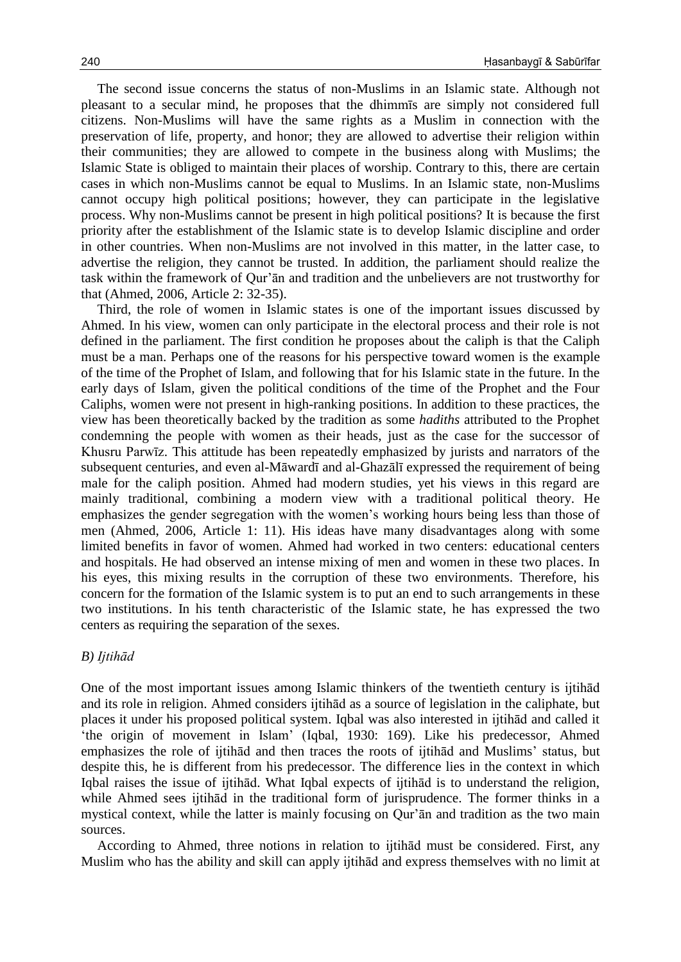The second issue concerns the status of non-Muslims in an Islamic state. Although not pleasant to a secular mind, he proposes that the dhimmīs are simply not considered full citizens. Non-Muslims will have the same rights as a Muslim in connection with the preservation of life, property, and honor; they are allowed to advertise their religion within their communities; they are allowed to compete in the business along with Muslims; the Islamic State is obliged to maintain their places of worship. Contrary to this, there are certain cases in which non-Muslims cannot be equal to Muslims. In an Islamic state, non-Muslims cannot occupy high political positions; however, they can participate in the legislative process. Why non-Muslims cannot be present in high political positions? It is because the first priority after the establishment of the Islamic state is to develop Islamic discipline and order in other countries. When non-Muslims are not involved in this matter, in the latter case, to advertise the religion, they cannot be trusted. In addition, the parliament should realize the task within the framework of Qur'ān and tradition and the unbelievers are not trustworthy for that (Ahmed, 2006, Article 2: 32-35).

Third, the role of women in Islamic states is one of the important issues discussed by Ahmed. In his view, women can only participate in the electoral process and their role is not defined in the parliament. The first condition he proposes about the caliph is that the Caliph must be a man. Perhaps one of the reasons for his perspective toward women is the example of the time of the Prophet of Islam, and following that for his Islamic state in the future. In the early days of Islam, given the political conditions of the time of the Prophet and the Four Caliphs, women were not present in high-ranking positions. In addition to these practices, the view has been theoretically backed by the tradition as some *hadiths* attributed to the Prophet condemning the people with women as their heads, just as the case for the successor of Khusru Parwīz. This attitude has been repeatedly emphasized by jurists and narrators of the subsequent centuries, and even al-Māwardī and al-Ghazālī expressed the requirement of being male for the caliph position. Ahmed had modern studies, yet his views in this regard are mainly traditional, combining a modern view with a traditional political theory. He emphasizes the gender segregation with the women's working hours being less than those of men (Ahmed, 2006, Article 1: 11). His ideas have many disadvantages along with some limited benefits in favor of women. Ahmed had worked in two centers: educational centers and hospitals. He had observed an intense mixing of men and women in these two places. In his eyes, this mixing results in the corruption of these two environments. Therefore, his concern for the formation of the Islamic system is to put an end to such arrangements in these two institutions. In his tenth characteristic of the Islamic state, he has expressed the two centers as requiring the separation of the sexes.

#### *B) Ijtihād*

One of the most important issues among Islamic thinkers of the twentieth century is ijtihād and its role in religion. Ahmed considers ijtihād as a source of legislation in the caliphate, but places it under his proposed political system. Iqbal was also interested in ijtihād and called it 'the origin of movement in Islam' (Iqbal, 1930: 169). Like his predecessor, Ahmed emphasizes the role of ijtihād and then traces the roots of ijtihād and Muslims' status, but despite this, he is different from his predecessor. The difference lies in the context in which Iqbal raises the issue of ijtihād. What Iqbal expects of ijtihād is to understand the religion, while Ahmed sees ijtihād in the traditional form of jurisprudence. The former thinks in a mystical context, while the latter is mainly focusing on Qur'ān and tradition as the two main sources.

According to Ahmed, three notions in relation to ijtihād must be considered. First, any Muslim who has the ability and skill can apply ijtihād and express themselves with no limit at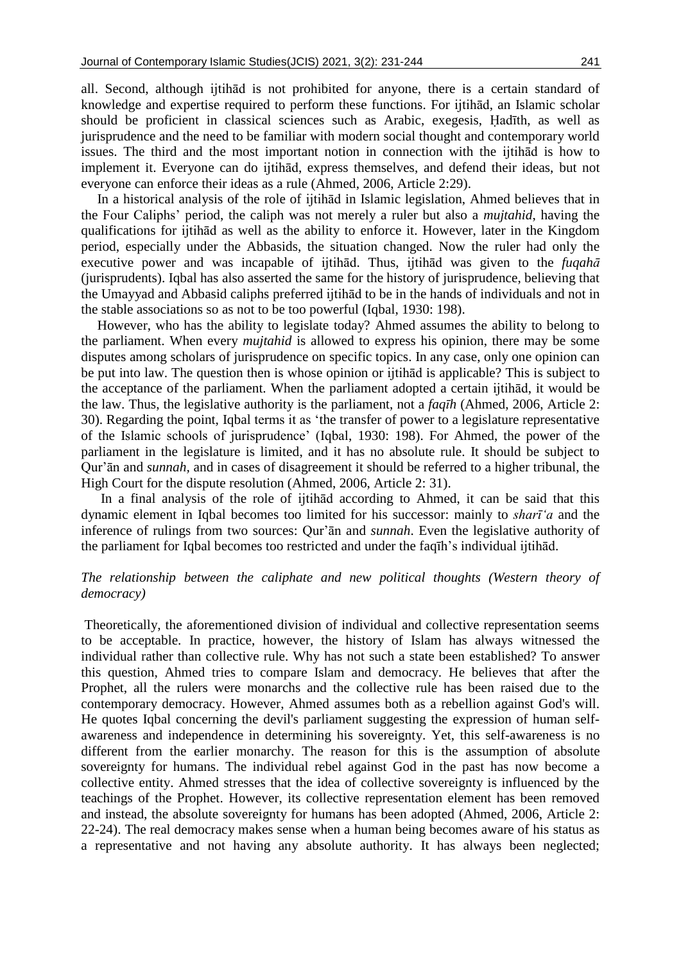all. Second, although ijtihād is not prohibited for anyone, there is a certain standard of knowledge and expertise required to perform these functions. For ijtihād, an Islamic scholar should be proficient in classical sciences such as Arabic, exegesis, Ḥadīth, as well as jurisprudence and the need to be familiar with modern social thought and contemporary world issues. The third and the most important notion in connection with the ijtihād is how to implement it. Everyone can do ijtihād, express themselves, and defend their ideas, but not everyone can enforce their ideas as a rule (Ahmed, 2006, Article 2:29).

In a historical analysis of the role of ijtihād in Islamic legislation, Ahmed believes that in the Four Caliphs' period, the caliph was not merely a ruler but also a *mujtahid*, having the qualifications for ijtihād as well as the ability to enforce it. However, later in the Kingdom period, especially under the Abbasids, the situation changed. Now the ruler had only the executive power and was incapable of ijtihād. Thus, ijtihād was given to the *fuqahā*  (jurisprudents). Iqbal has also asserted the same for the history of jurisprudence, believing that the Umayyad and Abbasid caliphs preferred ijtihād to be in the hands of individuals and not in the stable associations so as not to be too powerful (Iqbal, 1930: 198).

However, who has the ability to legislate today? Ahmed assumes the ability to belong to the parliament. When every *mujtahid* is allowed to express his opinion, there may be some disputes among scholars of jurisprudence on specific topics. In any case, only one opinion can be put into law. The question then is whose opinion or ijtihād is applicable? This is subject to the acceptance of the parliament. When the parliament adopted a certain ijtihād, it would be the law. Thus, the legislative authority is the parliament, not a *faqīh* (Ahmed, 2006, Article 2: 30). Regarding the point, Iqbal terms it as 'the transfer of power to a legislature representative of the Islamic schools of jurisprudence' (Iqbal, 1930: 198). For Ahmed, the power of the parliament in the legislature is limited, and it has no absolute rule. It should be subject to Qur'ān and *sunnah,* and in cases of disagreement it should be referred to a higher tribunal, the High Court for the dispute resolution (Ahmed, 2006, Article 2: 31).

In a final analysis of the role of ijtihād according to Ahmed, it can be said that this dynamic element in Iqbal becomes too limited for his successor: mainly to *sharī'a* and the inference of rulings from two sources: Qur'ān and *sunnah*. Even the legislative authority of the parliament for Iqbal becomes too restricted and under the faqīh's individual ijtihād.

# *The relationship between the caliphate and new political thoughts (Western theory of democracy)*

Theoretically, the aforementioned division of individual and collective representation seems to be acceptable. In practice, however, the history of Islam has always witnessed the individual rather than collective rule. Why has not such a state been established? To answer this question, Ahmed tries to compare Islam and democracy. He believes that after the Prophet, all the rulers were monarchs and the collective rule has been raised due to the contemporary democracy. However, Ahmed assumes both as a rebellion against God's will. He quotes Iqbal concerning the devil's parliament suggesting the expression of human selfawareness and independence in determining his sovereignty. Yet, this self-awareness is no different from the earlier monarchy. The reason for this is the assumption of absolute sovereignty for humans. The individual rebel against God in the past has now become a collective entity. Ahmed stresses that the idea of collective sovereignty is influenced by the teachings of the Prophet. However, its collective representation element has been removed and instead, the absolute sovereignty for humans has been adopted (Ahmed, 2006, Article 2: 22-24). The real democracy makes sense when a human being becomes aware of his status as a representative and not having any absolute authority. It has always been neglected;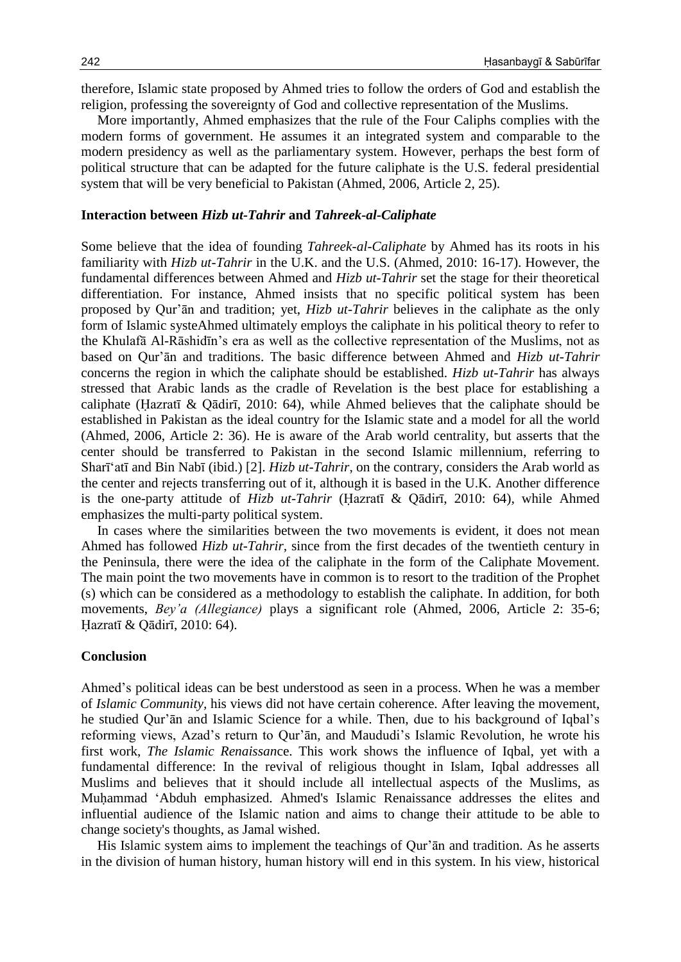therefore, Islamic state proposed by Ahmed tries to follow the orders of God and establish the religion, professing the sovereignty of God and collective representation of the Muslims.

More importantly, Ahmed emphasizes that the rule of the Four Caliphs complies with the modern forms of government. He assumes it an integrated system and comparable to the modern presidency as well as the parliamentary system. However, perhaps the best form of political structure that can be adapted for the future caliphate is the U.S. federal presidential system that will be very beneficial to Pakistan (Ahmed, 2006, Article 2, 25).

#### **Interaction between** *Hizb ut-Tahrir* **and** *Tahreek-al-Caliphate*

Some believe that the idea of founding *Tahreek-al-Caliphate* by Ahmed has its roots in his familiarity with *Hizb ut-Tahrir* in the U.K. and the U.S. (Ahmed, 2010: 16-17). However, the fundamental differences between Ahmed and *Hizb ut-Tahrir* set the stage for their theoretical differentiation. For instance, Ahmed insists that no specific political system has been proposed by Qur'ān and tradition; yet, *Hizb ut-Tahrir* believes in the caliphate as the only form of Islamic systeAhmed ultimately employs the caliphate in his political theory to refer to the Khulafā Al-Rāshidīn's era as well as the collective representation of the Muslims, not as based on Qur'ān and traditions. The basic difference between Ahmed and *Hizb ut-Tahrir*  concerns the region in which the caliphate should be established. *Hizb ut-Tahrir* has always stressed that Arabic lands as the cradle of Revelation is the best place for establishing a caliphate (Ḥazratī & Qādirī, 2010: 64), while Ahmed believes that the caliphate should be established in Pakistan as the ideal country for the Islamic state and a model for all the world (Ahmed, 2006, Article 2: 36). He is aware of the Arab world centrality, but asserts that the center should be transferred to Pakistan in the second Islamic millennium, referring to Sharī'atī and Bin Nabī (ibid.) [2]. *Hizb ut-Tahrir*, on the contrary, considers the Arab world as the center and rejects transferring out of it, although it is based in the U.K. Another difference is the one-party attitude of *Hizb ut-Tahrir* (Ḥazratī & Qādirī, 2010: 64), while Ahmed emphasizes the multi-party political system.

In cases where the similarities between the two movements is evident, it does not mean Ahmed has followed *Hizb ut-Tahrir,* since from the first decades of the twentieth century in the Peninsula, there were the idea of the caliphate in the form of the Caliphate Movement. The main point the two movements have in common is to resort to the tradition of the Prophet (s) which can be considered as a methodology to establish the caliphate. In addition, for both movements, *Bey'a (Allegiance)* plays a significant role (Ahmed, 2006, Article 2: 35-6; Ḥazratī & Qādirī, 2010: 64).

#### **Conclusion**

Ahmed's political ideas can be best understood as seen in a process. When he was a member of *Islamic Community,* his views did not have certain coherence. After leaving the movement, he studied Qur'ān and Islamic Science for a while. Then, due to his background of Iqbal's reforming views, Azad's return to Qur'ān, and Maududi's Islamic Revolution, he wrote his first work, *The Islamic Renaissan*ce. This work shows the influence of Iqbal, yet with a fundamental difference: In the revival of religious thought in Islam, Iqbal addresses all Muslims and believes that it should include all intellectual aspects of the Muslims, as Muḥammad 'Abduh emphasized. Ahmed's Islamic Renaissance addresses the elites and influential audience of the Islamic nation and aims to change their attitude to be able to change society's thoughts, as Jamal wished.

His Islamic system aims to implement the teachings of Qur'an and tradition. As he asserts in the division of human history, human history will end in this system. In his view, historical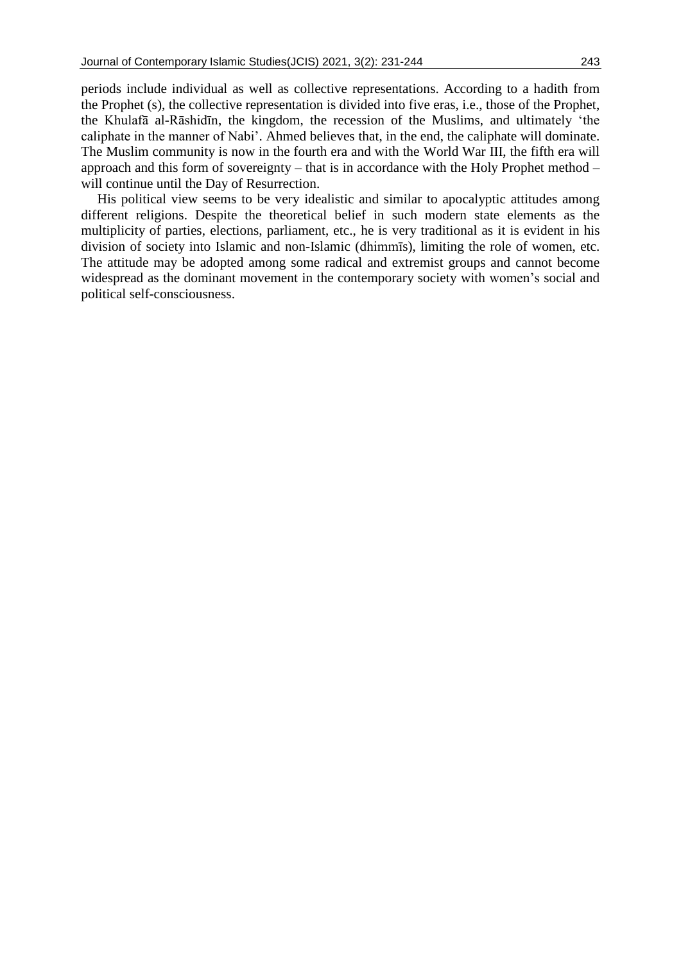periods include individual as well as collective representations. According to a hadith from the Prophet (s), the collective representation is divided into five eras, i.e., those of the Prophet, the Khulafā al-Rāshidīn, the kingdom, the recession of the Muslims, and ultimately 'the caliphate in the manner of Nabi'. Ahmed believes that, in the end, the caliphate will dominate. The Muslim community is now in the fourth era and with the World War III, the fifth era will approach and this form of sovereignty – that is in accordance with the Holy Prophet method – will continue until the Day of Resurrection.

His political view seems to be very idealistic and similar to apocalyptic attitudes among different religions. Despite the theoretical belief in such modern state elements as the multiplicity of parties, elections, parliament, etc., he is very traditional as it is evident in his division of society into Islamic and non-Islamic (dhimmīs), limiting the role of women, etc. The attitude may be adopted among some radical and extremist groups and cannot become widespread as the dominant movement in the contemporary society with women's social and political self-consciousness.